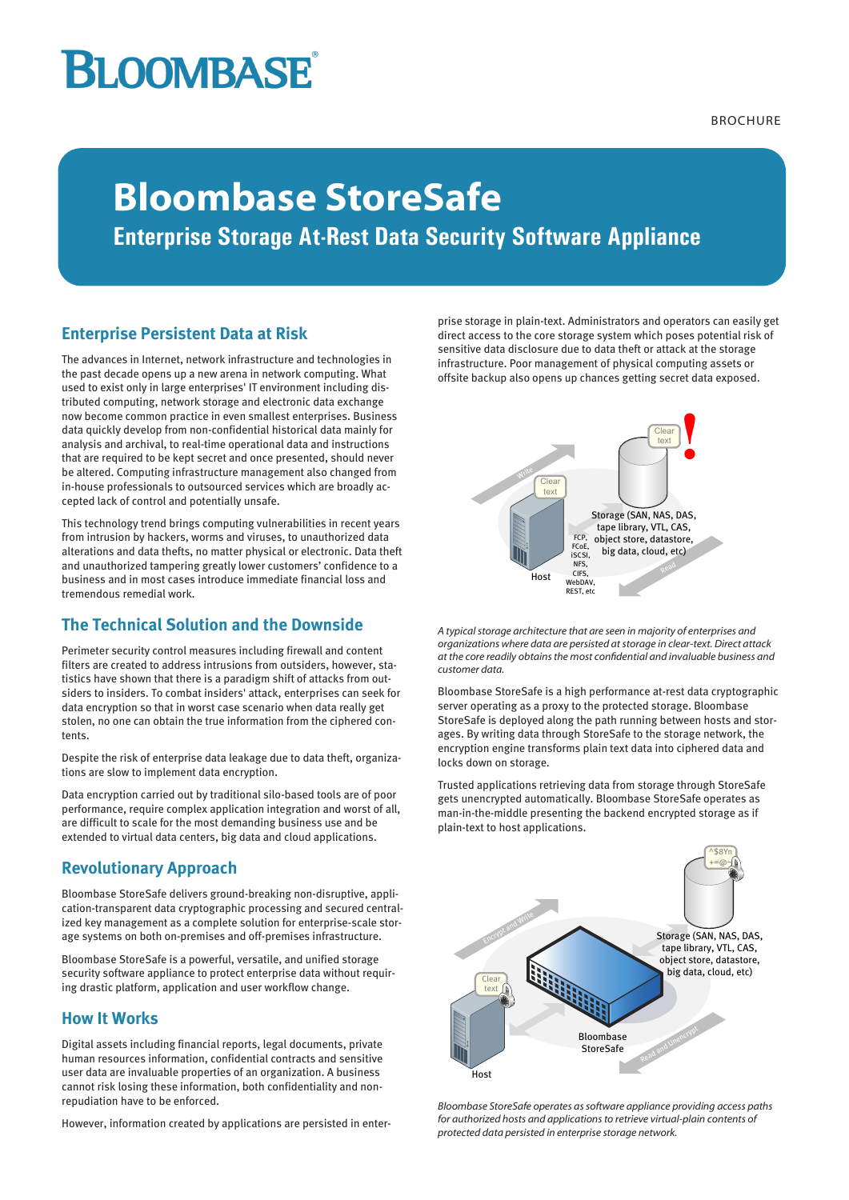# **BLOOMBASE**

**BROCHURE** 

## **Bloombase StoreSafe**

**Enterprise Storage At-Rest Data Security Software Appliance**

## **Enterprise Persistent Data at Risk**

The advances in Internet, network infrastructure and technologies in the past decade opens up a new arena in network computing. What used to exist only in large enterprises' IT environment including distributed computing, network storage and electronic data exchange now become common practice in even smallest enterprises. Business data quickly develop from non-confidential historical data mainly for analysis and archival, to real-time operational data and instructions that are required to be kept secret and once presented, should never be altered. Computing infrastructure management also changed from in-house professionals to outsourced services which are broadly accepted lack of control and potentially unsafe.

This technology trend brings computing vulnerabilities in recent years from intrusion by hackers, worms and viruses, to unauthorized data alterations and data thefts, no matter physical or electronic. Data theft and unauthorized tampering greatly lower customers' confidence to a business and in most cases introduce immediate financial loss and tremendous remedial work.

## **The Technical Solution and the Downside**

Perimeter security control measures including firewall and content filters are created to address intrusions from outsiders, however, statistics have shown that there is a paradigm shift of attacks from outsiders to insiders. To combat insiders' attack, enterprises can seek for data encryption so that in worst case scenario when data really get stolen, no one can obtain the true information from the ciphered contents.

Despite the risk of enterprise data leakage due to data theft, organizations are slow to implement data encryption.

Data encryption carried out by traditional silo-based tools are of poor performance, require complex application integration and worst of all, are difficult to scale for the most demanding business use and be extended to virtual data centers, big data and cloud applications.

## **Revolutionary Approach**

Bloombase StoreSafe delivers ground-breaking non-disruptive, application-transparent data cryptographic processing and secured centralized key management as a complete solution for enterprise-scale storage systems on both on-premises and off-premises infrastructure.

Bloombase StoreSafe is a powerful, versatile, and unified storage security software appliance to protect enterprise data without requiring drastic platform, application and user workflow change.

### **How It Works**

Digital assets including financial reports, legal documents, private human resources information, confidential contracts and sensitive user data are invaluable properties of an organization. A business cannot risk losing these information, both confidentiality and nonrepudiation have to be enforced.

However, information created by applications are persisted in enter-

prise storage in plain-text. Administrators and operators can easily get direct access to the core storage system which poses potential risk of sensitive data disclosure due to data theft or attack at the storage infrastructure. Poor management of physical computing assets or offsite backup also opens up chances getting secret data exposed.



*A typical storage architecture that are seen in majority of enterprises and organizations where data are persisted at storage in clear-text. Direct attack at the core readily obtains the most confidential and invaluable business and customer data.*

Bloombase StoreSafe is a high performance at-rest data cryptographic server operating as a proxy to the protected storage. Bloombase StoreSafe is deployed along the path running between hosts and storages. By writing data through StoreSafe to the storage network, the encryption engine transforms plain text data into ciphered data and locks down on storage.

Trusted applications retrieving data from storage through StoreSafe gets unencrypted automatically. Bloombase StoreSafe operates as man-in-the-middle presenting the backend encrypted storage as if plain-text to host applications.



*Bloombase StoreSafe operates as software appliance providing access paths for authorized hosts and applications to retrieve virtual-plain contents of protected data persisted in enterprise storage network.*